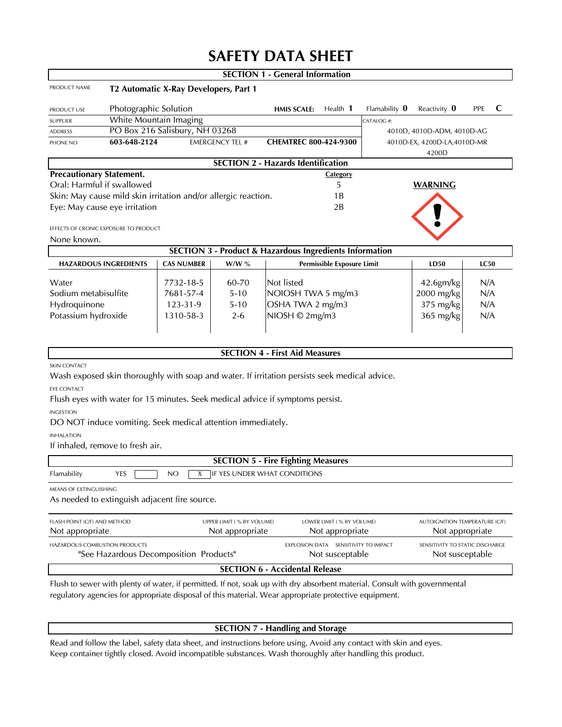# **SAFETY DATA SHEET**

|                                                                       |                                                                                                          |                                                             |                 | <b>SECTION 1 - General Information</b>                                                        |                         |                                                    |             |  |  |  |
|-----------------------------------------------------------------------|----------------------------------------------------------------------------------------------------------|-------------------------------------------------------------|-----------------|-----------------------------------------------------------------------------------------------|-------------------------|----------------------------------------------------|-------------|--|--|--|
| PRODUCT NAME                                                          |                                                                                                          | T2 Automatic X-Ray Developers, Part 1                       |                 |                                                                                               |                         |                                                    |             |  |  |  |
| PRODUCT USE                                                           | Photographic Solution                                                                                    |                                                             |                 | Health 1<br><b>HMIS SCALE:</b>                                                                | Flamability $\mathbf 0$ | Reactivity $\mathbf 0$                             | C<br>PPE    |  |  |  |
| SUPPLIER                                                              |                                                                                                          | White Mountain Imaging<br>CATALOG #:                        |                 |                                                                                               |                         |                                                    |             |  |  |  |
| <b>ADDRESS</b>                                                        | PO Box 216 Salisbury, NH 03268<br>4010D, 4010D-ADM, 4010D-AG                                             |                                                             |                 |                                                                                               |                         |                                                    |             |  |  |  |
| PHONE NO                                                              | 603-648-2124<br><b>EMERGENCY TEL #</b><br>CHEMTREC 800-424-9300<br>4010D-EX, 4200D-LA, 4010D-MR<br>4200D |                                                             |                 |                                                                                               |                         |                                                    |             |  |  |  |
|                                                                       |                                                                                                          |                                                             |                 | <b>SECTION 2 - Hazards Identification</b>                                                     |                         |                                                    |             |  |  |  |
| <b>Precautionary Statement.</b>                                       |                                                                                                          |                                                             |                 | <b>Category</b>                                                                               |                         |                                                    |             |  |  |  |
| Oral: Harmful if swallowed                                            |                                                                                                          |                                                             |                 | 5                                                                                             |                         | <b>WARNING</b>                                     |             |  |  |  |
| Skin: May cause mild skin irritation and/or allergic reaction.<br>1 B |                                                                                                          |                                                             |                 |                                                                                               |                         |                                                    |             |  |  |  |
| Eye: May cause eye irritation<br>2B                                   |                                                                                                          |                                                             |                 |                                                                                               |                         |                                                    |             |  |  |  |
|                                                                       | EFFECTS OF CRONIC EXPOSURE TO PRODUCT                                                                    |                                                             |                 |                                                                                               |                         |                                                    |             |  |  |  |
| None known.                                                           |                                                                                                          |                                                             |                 |                                                                                               |                         |                                                    |             |  |  |  |
| <b>SECTION 3 - Product &amp; Hazardous Ingredients Information</b>    |                                                                                                          |                                                             |                 |                                                                                               |                         |                                                    |             |  |  |  |
|                                                                       | <b>HAZARDOUS INGREDIENTS</b>                                                                             | <b>CAS NUMBER</b>                                           | $W/W$ %         | <b>Permissible Exposure Limit</b>                                                             |                         | LD50                                               | <b>LC50</b> |  |  |  |
| Water                                                                 |                                                                                                          | 7732-18-5                                                   | 60-70           | Not listed                                                                                    |                         | 42.6gm/kg                                          | N/A         |  |  |  |
| Sodium metabisulfite                                                  |                                                                                                          | 7681-57-4                                                   | $5 - 10$        | NOIOSH TWA 5 mg/m3                                                                            |                         | 2000 mg/kg                                         | N/A         |  |  |  |
| Hydroquinone                                                          |                                                                                                          | 123-31-9                                                    | $5 - 10$        | OSHA TWA 2 mg/m3                                                                              |                         | 375 mg/kg                                          | N/A         |  |  |  |
| Potassium hydroxide                                                   |                                                                                                          | 1310-58-3                                                   | $2 - 6$         | NIOSH © 2mg/m3                                                                                |                         | $365$ mg/kg                                        | N/A         |  |  |  |
|                                                                       |                                                                                                          |                                                             |                 |                                                                                               |                         |                                                    |             |  |  |  |
|                                                                       |                                                                                                          |                                                             |                 | <b>SECTION 4 - First Aid Measures</b>                                                         |                         |                                                    |             |  |  |  |
| <b>SKIN CONTACT</b>                                                   |                                                                                                          |                                                             |                 |                                                                                               |                         |                                                    |             |  |  |  |
|                                                                       |                                                                                                          |                                                             |                 | Wash exposed skin thoroughly with soap and water. If irritation persists seek medical advice. |                         |                                                    |             |  |  |  |
| <b>EYE CONTACT</b>                                                    |                                                                                                          |                                                             |                 |                                                                                               |                         |                                                    |             |  |  |  |
|                                                                       |                                                                                                          |                                                             |                 | Flush eyes with water for 15 minutes. Seek medical advice if symptoms persist.                |                         |                                                    |             |  |  |  |
| <b>INGESTION</b>                                                      |                                                                                                          |                                                             |                 |                                                                                               |                         |                                                    |             |  |  |  |
|                                                                       |                                                                                                          | DO NOT induce vomiting. Seek medical attention immediately. |                 |                                                                                               |                         |                                                    |             |  |  |  |
| <b>INHALATION</b><br>If inhaled, remove to fresh air.                 |                                                                                                          |                                                             |                 |                                                                                               |                         |                                                    |             |  |  |  |
| <b>SECTION 5 - Fire Fighting Measures</b>                             |                                                                                                          |                                                             |                 |                                                                                               |                         |                                                    |             |  |  |  |
| Flamability                                                           | YES                                                                                                      | NO<br>X                                                     |                 | IF YES UNDER WHAT CONDITIONS                                                                  |                         |                                                    |             |  |  |  |
| MEANS OF EXTINGUISHING                                                |                                                                                                          |                                                             |                 |                                                                                               |                         |                                                    |             |  |  |  |
|                                                                       |                                                                                                          | As needed to extinguish adjacent fire source.               |                 |                                                                                               |                         |                                                    |             |  |  |  |
| FLASH POINT (C/F) AND METHOD<br>UPPER LIMIT (% BY VOLUME)             |                                                                                                          |                                                             |                 | LOWER LIMIT (% BY VOLUME)                                                                     |                         | <b>AUTOIGNITION TEMPERATURE (C/F)</b>              |             |  |  |  |
| Not appropriate<br>Not appropriate                                    |                                                                                                          |                                                             | Not appropriate |                                                                                               | Not appropriate         |                                                    |             |  |  |  |
| HAZARDOUS COMBUSTION PRODUCTS                                         |                                                                                                          | "See Hazardous Decomposition Products"                      |                 | EXPLOSION DATA SENSITIVITY TO IMPACT<br>Not susceptable                                       |                         | SENSITIVITY TO STATIC DISCHARGE<br>Not susceptable |             |  |  |  |
| <b>SECTION 6 - Accidental Release</b>                                 |                                                                                                          |                                                             |                 |                                                                                               |                         |                                                    |             |  |  |  |

*Flush to sewer with plenty of water, if permitted. If not, soak up with dry absorbent material. Consult with governmental regulatory agencies for appropriate disposal of this material. Wear appropriate protective equipment.*

#### **SECTION 7 - Handling and Storage**

*Read and follow the label, safety data sheet, and instructions before using. Avoid any contact with skin and eyes. Keep container tightly closed. Avoid incompatible substances. Wash thoroughly after handling this product.*